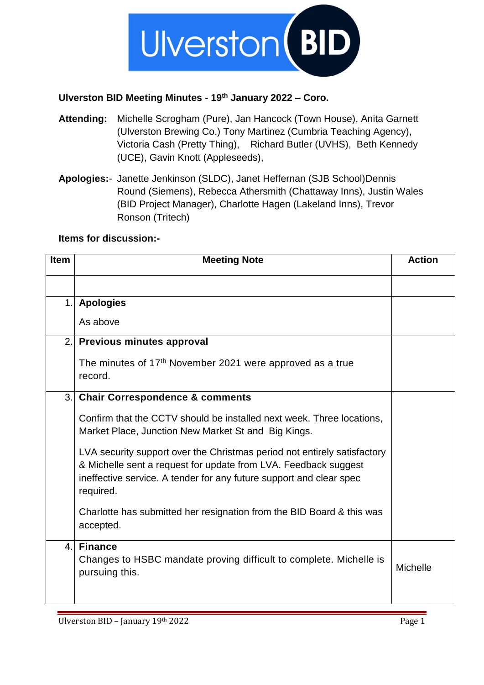

## **Ulverston BID Meeting Minutes - 19 th January 2022 – Coro.**

- **Attending:** Michelle Scrogham (Pure), Jan Hancock (Town House), Anita Garnett (Ulverston Brewing Co.) Tony Martinez (Cumbria Teaching Agency), Victoria Cash (Pretty Thing), Richard Butler (UVHS), Beth Kennedy (UCE), Gavin Knott (Appleseeds),
- **Apologies:** Janette Jenkinson (SLDC), Janet Heffernan (SJB School)Dennis Round (Siemens), Rebecca Athersmith (Chattaway Inns), Justin Wales (BID Project Manager), Charlotte Hagen (Lakeland Inns), Trevor Ronson (Tritech)

## **Items for discussion:-**

| Item | <b>Meeting Note</b>                                                                                                                                                                                                             | <b>Action</b>   |
|------|---------------------------------------------------------------------------------------------------------------------------------------------------------------------------------------------------------------------------------|-----------------|
|      |                                                                                                                                                                                                                                 |                 |
| 1.   | <b>Apologies</b>                                                                                                                                                                                                                |                 |
|      | As above                                                                                                                                                                                                                        |                 |
|      | 2. Previous minutes approval                                                                                                                                                                                                    |                 |
|      | The minutes of 17 <sup>th</sup> November 2021 were approved as a true<br>record.                                                                                                                                                |                 |
| 3.   | <b>Chair Correspondence &amp; comments</b>                                                                                                                                                                                      |                 |
|      | Confirm that the CCTV should be installed next week. Three locations,<br>Market Place, Junction New Market St and Big Kings.                                                                                                    |                 |
|      | LVA security support over the Christmas period not entirely satisfactory<br>& Michelle sent a request for update from LVA. Feedback suggest<br>ineffective service. A tender for any future support and clear spec<br>required. |                 |
|      | Charlotte has submitted her resignation from the BID Board & this was<br>accepted.                                                                                                                                              |                 |
| 4.   | <b>Finance</b>                                                                                                                                                                                                                  |                 |
|      | Changes to HSBC mandate proving difficult to complete. Michelle is<br>pursuing this.                                                                                                                                            | <b>Michelle</b> |
|      |                                                                                                                                                                                                                                 |                 |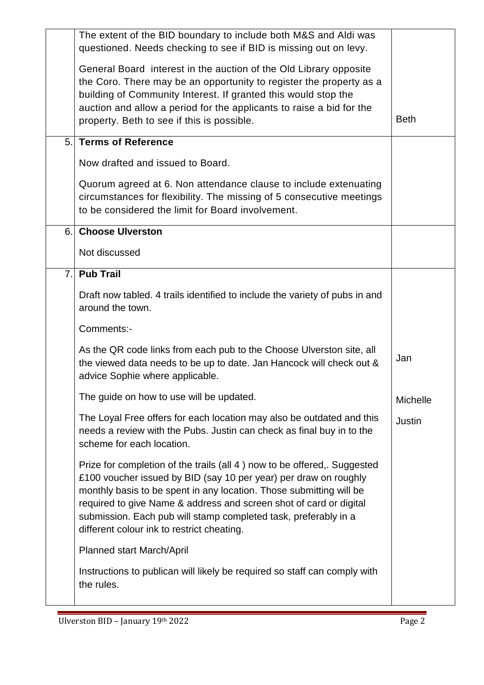|    | The extent of the BID boundary to include both M&S and Aldi was<br>questioned. Needs checking to see if BID is missing out on levy.                                                                                                                                                                                                                                                                        |             |
|----|------------------------------------------------------------------------------------------------------------------------------------------------------------------------------------------------------------------------------------------------------------------------------------------------------------------------------------------------------------------------------------------------------------|-------------|
|    | General Board interest in the auction of the Old Library opposite<br>the Coro. There may be an opportunity to register the property as a<br>building of Community Interest. If granted this would stop the<br>auction and allow a period for the applicants to raise a bid for the<br>property. Beth to see if this is possible.                                                                           | <b>Beth</b> |
| 5. | <b>Terms of Reference</b>                                                                                                                                                                                                                                                                                                                                                                                  |             |
|    | Now drafted and issued to Board.                                                                                                                                                                                                                                                                                                                                                                           |             |
|    | Quorum agreed at 6. Non attendance clause to include extenuating<br>circumstances for flexibility. The missing of 5 consecutive meetings<br>to be considered the limit for Board involvement.                                                                                                                                                                                                              |             |
|    | 6. Choose Ulverston                                                                                                                                                                                                                                                                                                                                                                                        |             |
|    | Not discussed                                                                                                                                                                                                                                                                                                                                                                                              |             |
| 7. | <b>Pub Trail</b>                                                                                                                                                                                                                                                                                                                                                                                           |             |
|    | Draft now tabled. 4 trails identified to include the variety of pubs in and<br>around the town.                                                                                                                                                                                                                                                                                                            |             |
|    | Comments:-                                                                                                                                                                                                                                                                                                                                                                                                 |             |
|    | As the QR code links from each pub to the Choose Ulverston site, all<br>the viewed data needs to be up to date. Jan Hancock will check out &<br>advice Sophie where applicable.                                                                                                                                                                                                                            | Jan         |
|    | The guide on how to use will be updated.                                                                                                                                                                                                                                                                                                                                                                   | Michelle    |
|    | The Loyal Free offers for each location may also be outdated and this<br>needs a review with the Pubs. Justin can check as final buy in to the<br>scheme for each location.                                                                                                                                                                                                                                | Justin      |
|    | Prize for completion of the trails (all 4) now to be offered,. Suggested<br>£100 voucher issued by BID (say 10 per year) per draw on roughly<br>monthly basis to be spent in any location. Those submitting will be<br>required to give Name & address and screen shot of card or digital<br>submission. Each pub will stamp completed task, preferably in a<br>different colour ink to restrict cheating. |             |
|    | Planned start March/April                                                                                                                                                                                                                                                                                                                                                                                  |             |
|    | Instructions to publican will likely be required so staff can comply with<br>the rules.                                                                                                                                                                                                                                                                                                                    |             |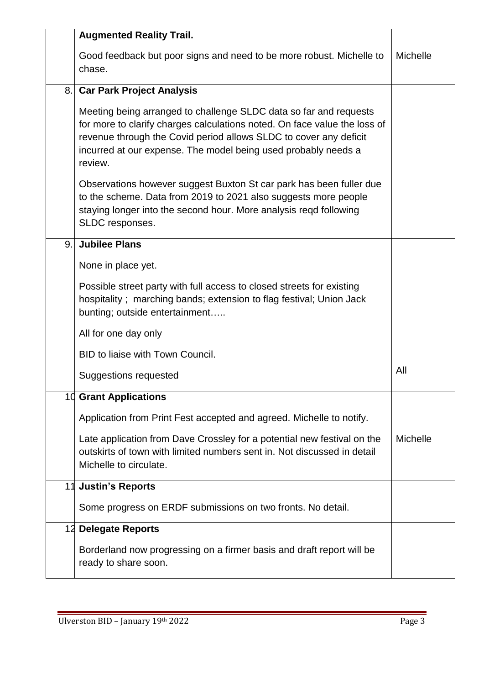|    | <b>Augmented Reality Trail.</b>                                                                                                                                                                                                                                                                  |                 |
|----|--------------------------------------------------------------------------------------------------------------------------------------------------------------------------------------------------------------------------------------------------------------------------------------------------|-----------------|
|    | Good feedback but poor signs and need to be more robust. Michelle to<br>chase.                                                                                                                                                                                                                   | Michelle        |
| 8. | <b>Car Park Project Analysis</b>                                                                                                                                                                                                                                                                 |                 |
|    | Meeting being arranged to challenge SLDC data so far and requests<br>for more to clarify charges calculations noted. On face value the loss of<br>revenue through the Covid period allows SLDC to cover any deficit<br>incurred at our expense. The model being used probably needs a<br>review. |                 |
|    | Observations however suggest Buxton St car park has been fuller due<br>to the scheme. Data from 2019 to 2021 also suggests more people<br>staying longer into the second hour. More analysis regd following<br>SLDC responses.                                                                   |                 |
| 9. | <b>Jubilee Plans</b>                                                                                                                                                                                                                                                                             |                 |
|    | None in place yet.                                                                                                                                                                                                                                                                               |                 |
|    | Possible street party with full access to closed streets for existing<br>hospitality; marching bands; extension to flag festival; Union Jack<br>bunting; outside entertainment                                                                                                                   |                 |
|    | All for one day only                                                                                                                                                                                                                                                                             |                 |
|    | BID to liaise with Town Council.                                                                                                                                                                                                                                                                 |                 |
|    | Suggestions requested                                                                                                                                                                                                                                                                            | All             |
|    | <b>10 Grant Applications</b>                                                                                                                                                                                                                                                                     |                 |
|    | Application from Print Fest accepted and agreed. Michelle to notify.                                                                                                                                                                                                                             |                 |
|    | Late application from Dave Crossley for a potential new festival on the<br>outskirts of town with limited numbers sent in. Not discussed in detail<br>Michelle to circulate.                                                                                                                     | <b>Michelle</b> |
| 11 | <b>Justin's Reports</b>                                                                                                                                                                                                                                                                          |                 |
|    | Some progress on ERDF submissions on two fronts. No detail.                                                                                                                                                                                                                                      |                 |
|    | 12 Delegate Reports                                                                                                                                                                                                                                                                              |                 |
|    | Borderland now progressing on a firmer basis and draft report will be<br>ready to share soon.                                                                                                                                                                                                    |                 |